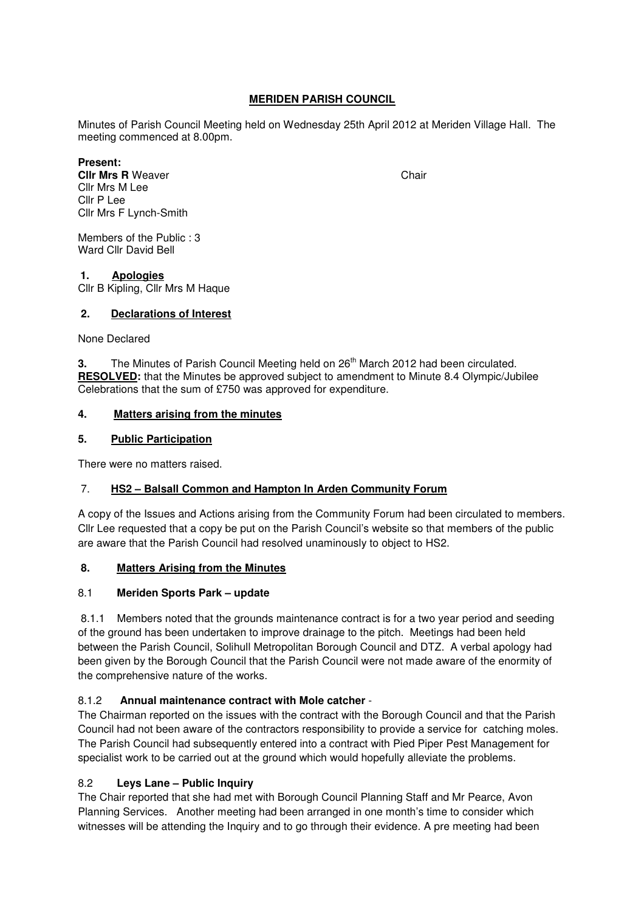## **MERIDEN PARISH COUNCIL**

Minutes of Parish Council Meeting held on Wednesday 25th April 2012 at Meriden Village Hall. The meeting commenced at 8.00pm.

**Present: Clir Mrs R** Weaver Cllr Mrs M Lee Cllr P Lee Cllr Mrs F Lynch-Smith

Members of the Public : 3 Ward Cllr David Bell

#### **1. Apologies**

Cllr B Kipling, Cllr Mrs M Haque

#### **2. Declarations of Interest**

None Declared

**3.** The Minutes of Parish Council Meeting held on 26<sup>th</sup> March 2012 had been circulated. **RESOLVED:** that the Minutes be approved subject to amendment to Minute 8.4 Olympic/Jubilee Celebrations that the sum of £750 was approved for expenditure.

#### **4. Matters arising from the minutes**

#### **5. Public Participation**

There were no matters raised.

#### 7. **HS2 – Balsall Common and Hampton In Arden Community Forum**

A copy of the Issues and Actions arising from the Community Forum had been circulated to members. Cllr Lee requested that a copy be put on the Parish Council's website so that members of the public are aware that the Parish Council had resolved unaminously to object to HS2.

#### **8. Matters Arising from the Minutes**

#### 8.1 **Meriden Sports Park – update**

8.1.1 Members noted that the grounds maintenance contract is for a two year period and seeding of the ground has been undertaken to improve drainage to the pitch. Meetings had been held between the Parish Council, Solihull Metropolitan Borough Council and DTZ. A verbal apology had been given by the Borough Council that the Parish Council were not made aware of the enormity of the comprehensive nature of the works.

#### 8.1.2 **Annual maintenance contract with Mole catcher** -

The Chairman reported on the issues with the contract with the Borough Council and that the Parish Council had not been aware of the contractors responsibility to provide a service for catching moles. The Parish Council had subsequently entered into a contract with Pied Piper Pest Management for specialist work to be carried out at the ground which would hopefully alleviate the problems.

#### 8.2 **Leys Lane – Public Inquiry**

The Chair reported that she had met with Borough Council Planning Staff and Mr Pearce, Avon Planning Services. Another meeting had been arranged in one month's time to consider which witnesses will be attending the Inquiry and to go through their evidence. A pre meeting had been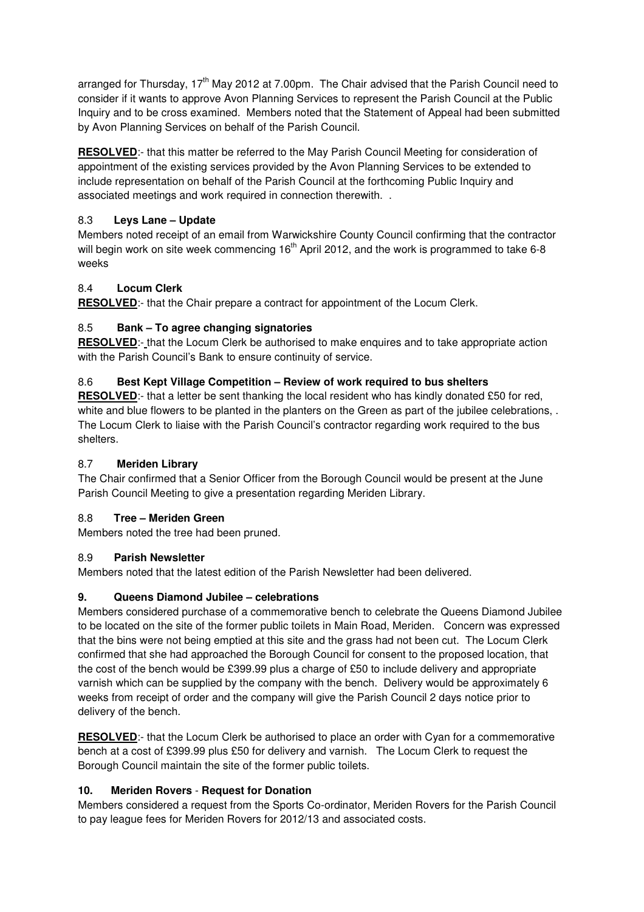arranged for Thursday, 17<sup>th</sup> May 2012 at 7.00pm. The Chair advised that the Parish Council need to consider if it wants to approve Avon Planning Services to represent the Parish Council at the Public Inquiry and to be cross examined. Members noted that the Statement of Appeal had been submitted by Avon Planning Services on behalf of the Parish Council.

**RESOLVED**:- that this matter be referred to the May Parish Council Meeting for consideration of appointment of the existing services provided by the Avon Planning Services to be extended to include representation on behalf of the Parish Council at the forthcoming Public Inquiry and associated meetings and work required in connection therewith. .

## 8.3 **Leys Lane – Update**

Members noted receipt of an email from Warwickshire County Council confirming that the contractor will begin work on site week commencing 16<sup>th</sup> April 2012, and the work is programmed to take 6-8 weeks

# 8.4 **Locum Clerk**

**RESOLVED**:- that the Chair prepare a contract for appointment of the Locum Clerk.

# 8.5 **Bank – To agree changing signatories**

**RESOLVED**:- that the Locum Clerk be authorised to make enquires and to take appropriate action with the Parish Council's Bank to ensure continuity of service.

## 8.6 **Best Kept Village Competition – Review of work required to bus shelters**

**RESOLVED**:- that a letter be sent thanking the local resident who has kindly donated £50 for red, white and blue flowers to be planted in the planters on the Green as part of the jubilee celebrations, . The Locum Clerk to liaise with the Parish Council's contractor regarding work required to the bus shelters.

## 8.7 **Meriden Library**

The Chair confirmed that a Senior Officer from the Borough Council would be present at the June Parish Council Meeting to give a presentation regarding Meriden Library.

## 8.8 **Tree – Meriden Green**

Members noted the tree had been pruned.

## 8.9 **Parish Newsletter**

Members noted that the latest edition of the Parish Newsletter had been delivered.

## **9. Queens Diamond Jubilee – celebrations**

Members considered purchase of a commemorative bench to celebrate the Queens Diamond Jubilee to be located on the site of the former public toilets in Main Road, Meriden. Concern was expressed that the bins were not being emptied at this site and the grass had not been cut. The Locum Clerk confirmed that she had approached the Borough Council for consent to the proposed location, that the cost of the bench would be £399.99 plus a charge of £50 to include delivery and appropriate varnish which can be supplied by the company with the bench. Delivery would be approximately 6 weeks from receipt of order and the company will give the Parish Council 2 days notice prior to delivery of the bench.

**RESOLVED**:- that the Locum Clerk be authorised to place an order with Cyan for a commemorative bench at a cost of £399.99 plus £50 for delivery and varnish. The Locum Clerk to request the Borough Council maintain the site of the former public toilets.

## **10. Meriden Rovers** - **Request for Donation**

Members considered a request from the Sports Co-ordinator, Meriden Rovers for the Parish Council to pay league fees for Meriden Rovers for 2012/13 and associated costs.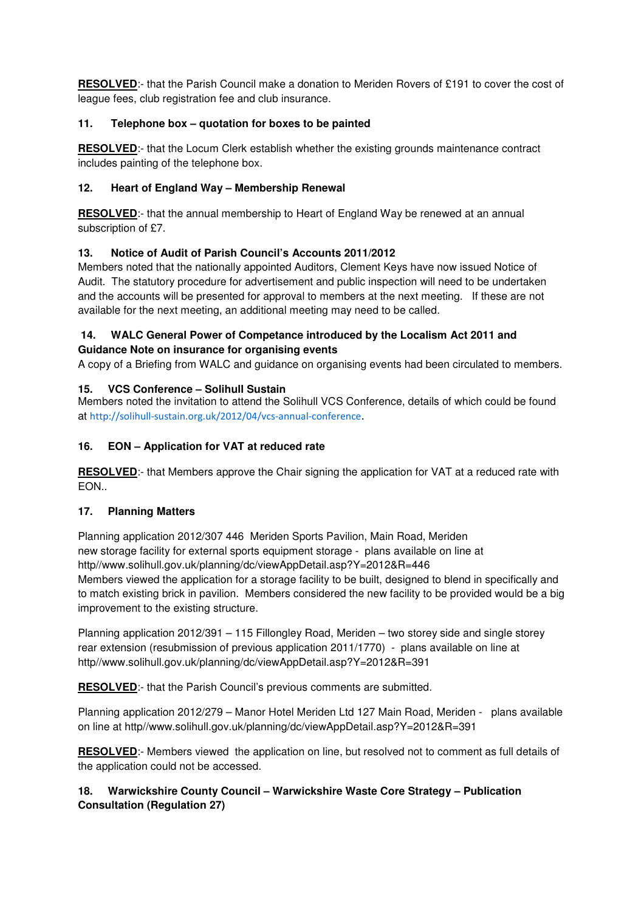**RESOLVED**:- that the Parish Council make a donation to Meriden Rovers of £191 to cover the cost of league fees, club registration fee and club insurance.

# **11. Telephone box – quotation for boxes to be painted**

**RESOLVED**:- that the Locum Clerk establish whether the existing grounds maintenance contract includes painting of the telephone box.

# **12. Heart of England Way – Membership Renewal**

**RESOLVED**:- that the annual membership to Heart of England Way be renewed at an annual subscription of £7.

# **13. Notice of Audit of Parish Council's Accounts 2011/2012**

Members noted that the nationally appointed Auditors, Clement Keys have now issued Notice of Audit. The statutory procedure for advertisement and public inspection will need to be undertaken and the accounts will be presented for approval to members at the next meeting. If these are not available for the next meeting, an additional meeting may need to be called.

## **14. WALC General Power of Competance introduced by the Localism Act 2011 and Guidance Note on insurance for organising events**

A copy of a Briefing from WALC and guidance on organising events had been circulated to members.

# **15. VCS Conference – Solihull Sustain**

Members noted the invitation to attend the Solihull VCS Conference, details of which could be found at http://solihull-sustain.org.uk/2012/04/vcs-annual-conference.

# **16. EON – Application for VAT at reduced rate**

**RESOLVED**:- that Members approve the Chair signing the application for VAT at a reduced rate with EON..

## **17. Planning Matters**

Planning application 2012/307 446 Meriden Sports Pavilion, Main Road, Meriden new storage facility for external sports equipment storage - plans available on line at http//www.solihull.gov.uk/planning/dc/viewAppDetail.asp?Y=2012&R=446 Members viewed the application for a storage facility to be built, designed to blend in specifically and to match existing brick in pavilion. Members considered the new facility to be provided would be a big improvement to the existing structure.

Planning application 2012/391 – 115 Fillongley Road, Meriden – two storey side and single storey rear extension (resubmission of previous application 2011/1770) - plans available on line at http//www.solihull.gov.uk/planning/dc/viewAppDetail.asp?Y=2012&R=391

**RESOLVED:**- that the Parish Council's previous comments are submitted.

Planning application 2012/279 – Manor Hotel Meriden Ltd 127 Main Road, Meriden - plans available on line at http//www.solihull.gov.uk/planning/dc/viewAppDetail.asp?Y=2012&R=391

**RESOLVED**:- Members viewed the application on line, but resolved not to comment as full details of the application could not be accessed.

## **18. Warwickshire County Council – Warwickshire Waste Core Strategy – Publication Consultation (Regulation 27)**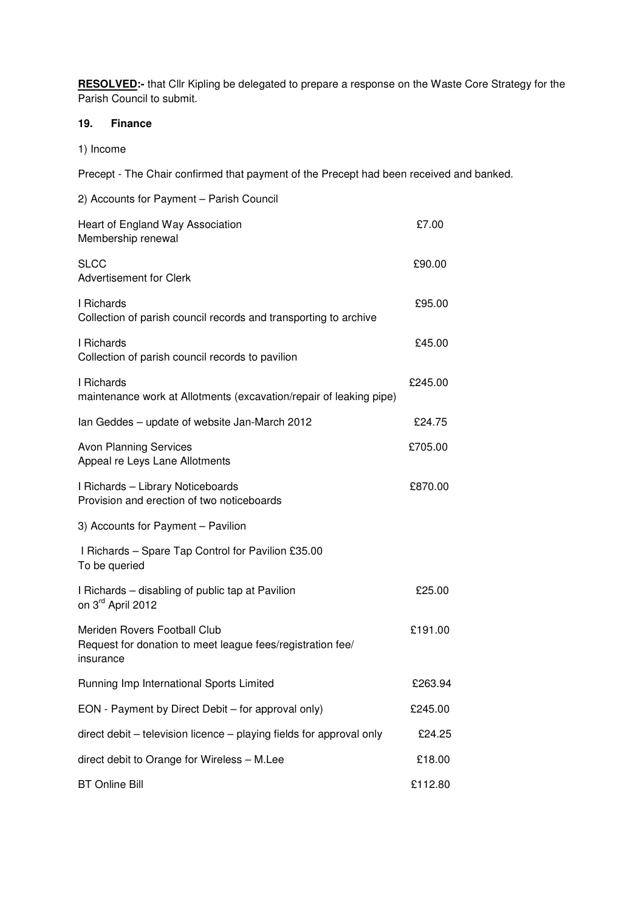**RESOLVED:-** that Cllr Kipling be delegated to prepare a response on the Waste Core Strategy for the Parish Council to submit.

#### **19. Finance**

1) Income

Precept - The Chair confirmed that payment of the Precept had been received and banked.

| 2) Accounts for Payment - Parish Council                                                                |         |
|---------------------------------------------------------------------------------------------------------|---------|
| Heart of England Way Association<br>Membership renewal                                                  | £7.00   |
| <b>SLCC</b><br><b>Advertisement for Clerk</b>                                                           | £90.00  |
| I Richards<br>Collection of parish council records and transporting to archive                          | £95.00  |
| I Richards<br>Collection of parish council records to pavilion                                          | £45.00  |
| I Richards<br>maintenance work at Allotments (excavation/repair of leaking pipe)                        | £245.00 |
| Ian Geddes – update of website Jan-March 2012                                                           | £24.75  |
| <b>Avon Planning Services</b><br>Appeal re Leys Lane Allotments                                         | £705.00 |
| I Richards - Library Noticeboards<br>Provision and erection of two noticeboards                         | £870.00 |
| 3) Accounts for Payment - Pavilion                                                                      |         |
| I Richards - Spare Tap Control for Pavilion £35.00<br>To be queried                                     |         |
| I Richards – disabling of public tap at Pavilion<br>on 3rd April 2012                                   | £25.00  |
| Meriden Rovers Football Club<br>Request for donation to meet league fees/registration fee/<br>insurance | £191.00 |
| Running Imp International Sports Limited                                                                | £263.94 |
| EON - Payment by Direct Debit - for approval only)                                                      | £245.00 |
| direct debit - television licence - playing fields for approval only                                    | £24.25  |
| direct debit to Orange for Wireless - M.Lee                                                             | £18.00  |
| <b>BT Online Bill</b>                                                                                   | £112.80 |